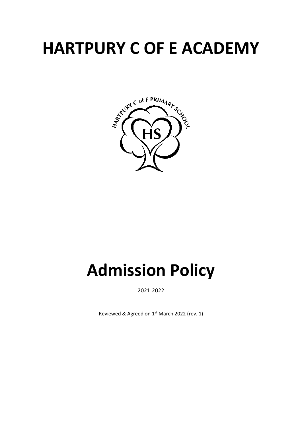# **HARTPURY C OF E ACADEMY**



# **Admission Policy**

2021-2022

Reviewed & Agreed on 1<sup>st</sup> March 2022 (rev. 1)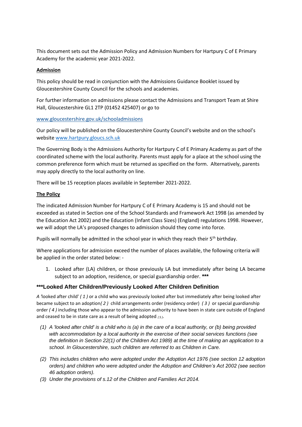This document sets out the Admission Policy and Admission Numbers for Hartpury C of E Primary Academy for the academic year 2021-2022.

# **Admission**

This policy should be read in conjunction with the Admissions Guidance Booklet issued by Gloucestershire County Council for the schools and academies.

For further information on admissions please contact the Admissions and Transport Team at Shire Hall, Gloucestershire GL1 2TP (01452 425407) or go to

# [www.gloucestershire.gov.uk/schooladmissions](http://www.gloucestershire.gov.uk/schooladmissions)

Our policy will be published on the Gloucestershire County Council's website and on the school's websit[e www.hartpury.gloucs.sch.uk](http://www.hartpury.gloucs.sch.uk/)

The Governing Body is the Admissions Authority for Hartpury C of E Primary Academy as part of the coordinated scheme with the local authority. Parents must apply for a place at the school using the common preference form which must be returned as specified on the form. Alternatively, parents may apply directly to the local authority on line.

There will be 15 reception places available in September 2021-2022.

# **The Policy**

The indicated Admission Number for Hartpury C of E Primary Academy is 15 and should not be exceeded as stated in Section one of the School Standards and Framework Act 1998 (as amended by the Education Act 2002) and the Education (Infant Class Sizes) (England) regulations 1998. However, we will adopt the LA's proposed changes to admission should they come into force.

Pupils will normally be admitted in the school year in which they reach their  $5<sup>th</sup>$  birthday.

Where applications for admission exceed the number of places available, the following criteria will be applied in the order stated below: -

1. Looked after (LA) children, or those previously LA but immediately after being LA became subject to an adoption, residence, or special guardianship order. **\*\*\***

# **\*\*\*Looked After Children/Previously Looked After Children Definition**

*A '*looked after child' *( 1 )* or a child who was previously looked after but immediately after being looked after became subject to an adoption*( 2 )* child arrangements order (residency order) *( 3 )* or special guardianship order *( 4 )* including those who appear to the admission authority to have been in state care outside of England and ceased to be in state care as a result of being adopted (5).

- *(1) A 'looked after child' is a child who is (a) in the care of a local authority, or (b) being provided with accommodation by a local authority in the exercise of their social services functions (see the definition in Section 22(1) of the Children Act 1989) at the time of making an application to a school. In Gloucestershire, such children are referred to as Children in Care.*
- *(2) This includes children who were adopted under the Adoption Act 1976 (see section 12 adoption orders) and children who were adopted under the Adoption and Children's Act 2002 (see section 46 adoption orders).*
- *(3) Under the provisions of s.12 of the Children and Families Act 2014.*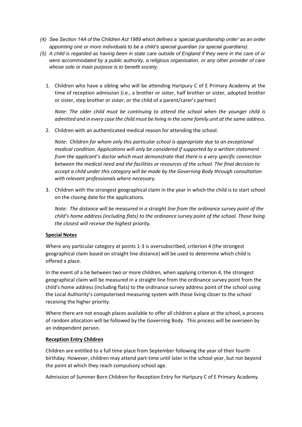- *(4) See Section 14A of the Children Act 1989 which defines a 'special guardianship order' as an order appointing one or more individuals to be a child's special guardian (or special guardians).*
- *(5) A child is regarded as having been in state care outside of England if they were in the care of or were accommodated by a public authority, a religious organisation, or any other provider of care whose sole or main purpose is to benefit society.*
	- 1. Children who have a sibling who will be attending Hartpury C of E Primary Academy at the time of reception admission (i.e., a brother or sister, half brother or sister, adopted brother or sister, step brother or sister, or the child of a parent/carer's partner)

*Note: The older child must be continuing to attend the school when the younger child is admitted and in every case the child must be living in the same family unit at the same address.*

2. Children with an authenticated medical reason for attending the school.

*Note: Children for whom only this particular school is appropriate due to an exceptional medical condition. Applications will only be considered if supported by a written statement from the applicant's doctor which must demonstrate that there is a very specific connection between the medical need and the facilities or resources of the school. The final decision to accept a child under this category will be made by the Governing Body through consultation with relevant professionals where necessary.*

3. Children with the strongest geographical claim in the year in which the child is to start school on the closing date for the applications.

*Note: The distance will be measured in a straight line from the ordinance survey point of the child's home address (including flats) to the ordinance survey point of the school. Those living the closest will receive the highest priority.*

# **Special Notes**

Where any particular category at points 1-3 is oversubscribed, criterion 4 (the strongest geographical claim based on straight line distance) will be used to determine which child is offered a place.

In the event of a tie between two or more children, when applying criterion 4, the strongest geographical claim will be measured in a straight line from the ordinance survey point from the child's home address (including flats) to the ordinance survey address point of the school using the Local Authority's computerised measuring system with those living closer to the school receiving the higher priority.

Where there are not enough places available to offer all children a place at the school, a process of random allocation will be followed by the Governing Body. This process will be overseen by an independent person.

#### **Reception Entry Children**

Children are entitled to a full time place from September following the year of their fourth birthday. However, children may attend part-time until later in the school year, but not beyond the point at which they reach compulsory school age.

Admission of Summer Born Children for Reception Entry for Hartpury C of E Primary Academy.